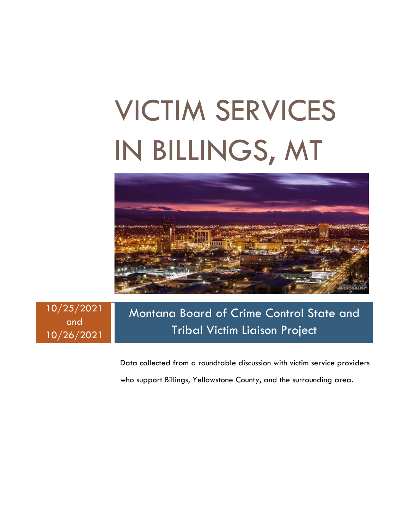# VICTIM SERVICES IN BILLINGS, MT



10/25/2021 and 10/26/2021

## Montana Board of Crime Control State and Tribal Victim Liaison Project

Data collected from a roundtable discussion with victim service providers who support Billings, Yellowstone County, and the surrounding area.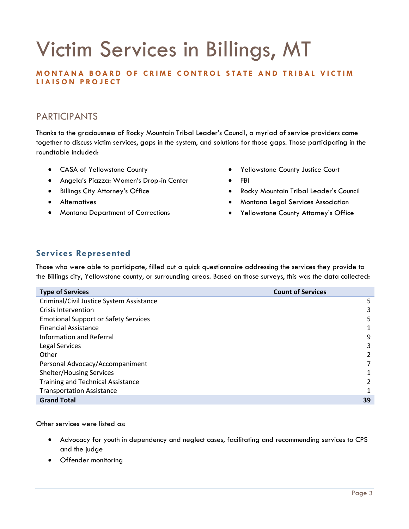## Victim Services in Billings, MT

## **MONTANA BOARD OF CRIME CONTROL STATE AND TRIBAL VICTIM LIAISON PROJECT**

## PARTICIPANTS

Thanks to the graciousness of Rocky Mountain Tribal Leader's Council, a myriad of service providers came together to discuss victim services, gaps in the system, and solutions for those gaps. Those participating in the roundtable included:

- CASA of Yellowstone County
- Angela's Piazza: Women's Drop-in Center
- Billings City Attorney's Office
- Alternatives
- Montana Department of Corrections
- Yellowstone County Justice Court
- FBI
- Rocky Mountain Tribal Leader's Council
- Montana Legal Services Association
- Yellowstone County Attorney's Office

## **Services Represented**

Those who were able to participate, filled out a quick questionnaire addressing the services they provide to the Billings city, Yellowstone county, or surrounding areas. Based on those surveys, this was the data collected:

| <b>Type of Services</b>                     | <b>Count of Services</b> |
|---------------------------------------------|--------------------------|
| Criminal/Civil Justice System Assistance    | 5                        |
| Crisis Intervention                         | 3                        |
| <b>Emotional Support or Safety Services</b> | 5                        |
| <b>Financial Assistance</b>                 |                          |
| Information and Referral                    | 9                        |
| Legal Services                              | 3                        |
| Other                                       | 2                        |
| Personal Advocacy/Accompaniment             |                          |
| <b>Shelter/Housing Services</b>             |                          |
| <b>Training and Technical Assistance</b>    |                          |
| <b>Transportation Assistance</b>            |                          |
| <b>Grand Total</b>                          | 39                       |

Other services were listed as:

- Advocacy for youth in dependency and neglect cases, facilitating and recommending services to CPS and the judge
- Offender monitoring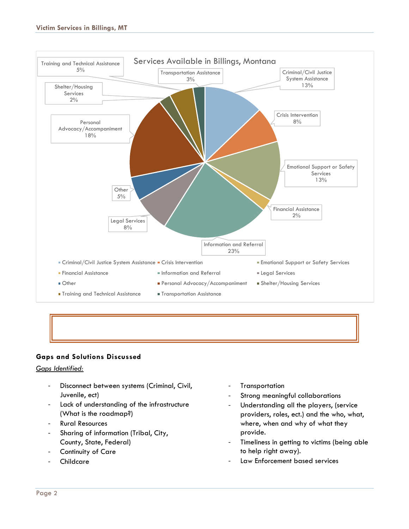

## **Gaps and Solutions Discussed**

### *Gaps Identified:*

- Disconnect between systems (Criminal, Civil, Juvenile, ect)
- Lack of understanding of the infrastructure (What is the roadmap?)
- Rural Resources
- Sharing of information (Tribal, City, County, State, Federal)
- Continuity of Care
- **Childcare**
- **Transportation**
- Strong meaningful collaborations
- Understanding all the players, (service providers, roles, ect.) and the who, what, where, when and why of what they provide.
- Timeliness in getting to victims (being able to help right away).
- Law Enforcement based services